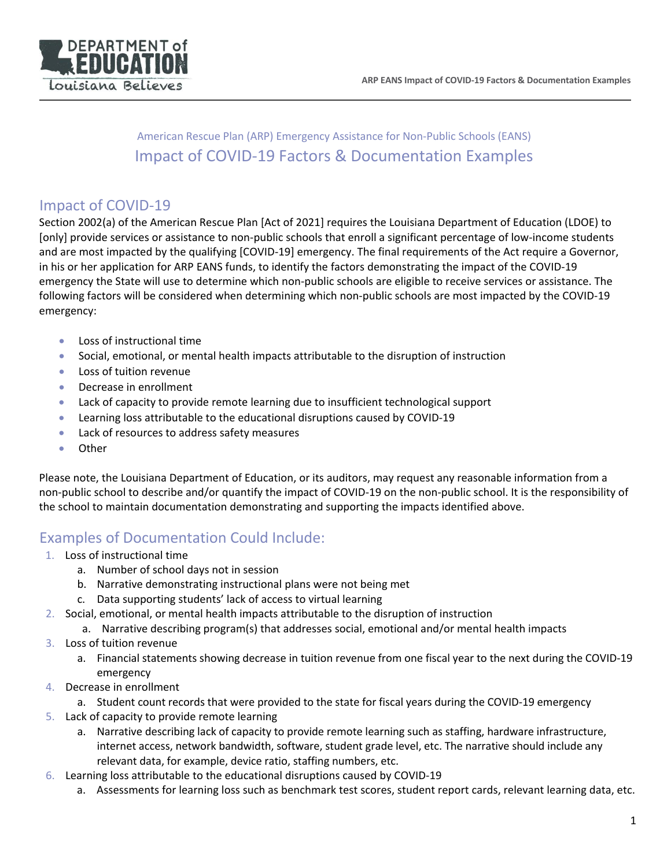

## American Rescue Plan (ARP) Emergency Assistance for Non-Public Schools (EANS) Impact of COVID-19 Factors & Documentation Examples

## Impact of COVID-19

Section 2002(a) of the American Rescue Plan [Act of 2021] requires the Louisiana Department of Education (LDOE) to [only] provide services or assistance to non-public schools that enroll a significant percentage of low-income students and are most impacted by the qualifying [COVID-19] emergency. The final requirements of the Act require a Governor, in his or her application for ARP EANS funds, to identify the factors demonstrating the impact of the COVID-19 emergency the State will use to determine which non-public schools are eligible to receive services or assistance. The following factors will be considered when determining which non-public schools are most impacted by the COVID-19 emergency:

- Loss of instructional time
- Social, emotional, or mental health impacts attributable to the disruption of instruction
- Loss of tuition revenue
- Decrease in enrollment
- Lack of capacity to provide remote learning due to insufficient technological support
- Learning loss attributable to the educational disruptions caused by COVID-19
- Lack of resources to address safety measures
- Other

Please note, the Louisiana Department of Education, or its auditors, may request any reasonable information from a non-public school to describe and/or quantify the impact of COVID-19 on the non-public school. It is the responsibility of the school to maintain documentation demonstrating and supporting the impacts identified above.

## Examples of Documentation Could Include:

- 1. Loss of instructional time
	- a. Number of school days not in session
	- b. Narrative demonstrating instructional plans were not being met
	- c. Data supporting students' lack of access to virtual learning
- 2. Social, emotional, or mental health impacts attributable to the disruption of instruction
	- a. Narrative describing program(s) that addresses social, emotional and/or mental health impacts
- 3. Loss of tuition revenue
	- a. Financial statements showing decrease in tuition revenue from one fiscal year to the next during the COVID-19 emergency
- 4. Decrease in enrollment
	- a. Student count records that were provided to the state for fiscal years during the COVID-19 emergency
- 5. Lack of capacity to provide remote learning
	- a. Narrative describing lack of capacity to provide remote learning such as staffing, hardware infrastructure, internet access, network bandwidth, software, student grade level, etc. The narrative should include any relevant data, for example, device ratio, staffing numbers, etc.
- 6. Learning loss attributable to the educational disruptions caused by COVID-19
	- a. Assessments for learning loss such as benchmark test scores, student report cards, relevant learning data, etc.